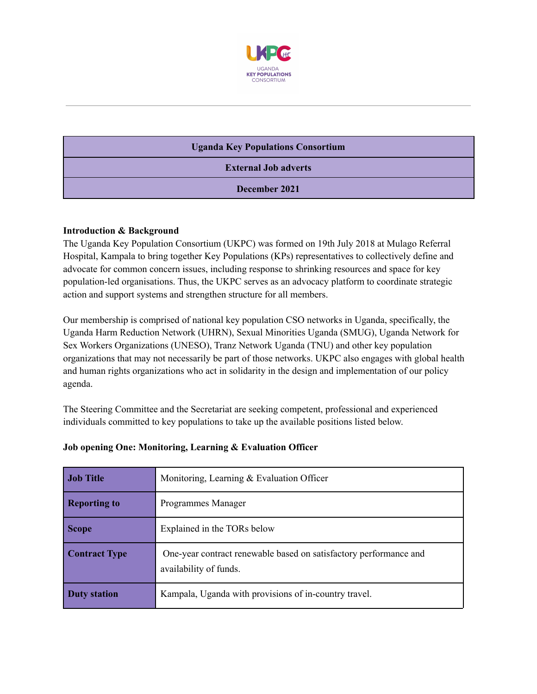

# **Uganda Key Populations Consortium External Job adverts December 2021**

# **Introduction & Background**

The Uganda Key Population Consortium (UKPC) was formed on 19th July 2018 at Mulago Referral Hospital, Kampala to bring together Key Populations (KPs) representatives to collectively define and advocate for common concern issues, including response to shrinking resources and space for key population-led organisations. Thus, the UKPC serves as an advocacy platform to coordinate strategic action and support systems and strengthen structure for all members.

Our membership is comprised of national key population CSO networks in Uganda, specifically, the Uganda Harm Reduction Network (UHRN), Sexual Minorities Uganda (SMUG), Uganda Network for Sex Workers Organizations (UNESO), Tranz Network Uganda (TNU) and other key population organizations that may not necessarily be part of those networks. UKPC also engages with global health and human rights organizations who act in solidarity in the design and implementation of our policy agenda.

The Steering Committee and the Secretariat are seeking competent, professional and experienced individuals committed to key populations to take up the available positions listed below.

| <b>Job Title</b>     | Monitoring, Learning $&$ Evaluation Officer                                                 |
|----------------------|---------------------------------------------------------------------------------------------|
| <b>Reporting to</b>  | Programmes Manager                                                                          |
| <b>Scope</b>         | Explained in the TORs below                                                                 |
| <b>Contract Type</b> | One-year contract renewable based on satisfactory performance and<br>availability of funds. |
| <b>Duty station</b>  | Kampala, Uganda with provisions of in-country travel.                                       |

# **Job opening One: Monitoring, Learning & Evaluation Officer**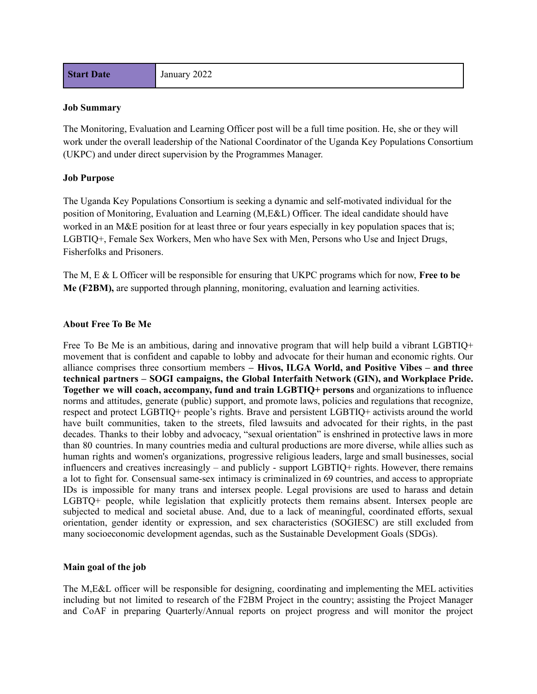#### **Job Summary**

The Monitoring, Evaluation and Learning Officer post will be a full time position. He, she or they will work under the overall leadership of the National Coordinator of the Uganda Key Populations Consortium (UKPC) and under direct supervision by the Programmes Manager.

#### **Job Purpose**

The Uganda Key Populations Consortium is seeking a dynamic and self-motivated individual for the position of Monitoring, Evaluation and Learning (M,E&L) Officer. The ideal candidate should have worked in an M&E position for at least three or four years especially in key population spaces that is; LGBTIQ+, Female Sex Workers, Men who have Sex with Men, Persons who Use and Inject Drugs, Fisherfolks and Prisoners.

The M, E & L Officer will be responsible for ensuring that UKPC programs which for now, **Free to be Me (F2BM),** are supported through planning, monitoring, evaluation and learning activities.

#### **About Free To Be Me**

Free To Be Me is an ambitious, daring and innovative program that will help build a vibrant LGBTIQ+ movement that is confident and capable to lobby and advocate for their human and economic rights. Our alliance comprises three consortium members **– Hivos, ILGA World, and Positive Vibes – and three technical partners – SOGI campaigns, the Global Interfaith Network (GIN), and Workplace Pride. Together we will coach, accompany, fund and train LGBTIQ+ persons** and organizations to influence norms and attitudes, generate (public) support, and promote laws, policies and regulations that recognize, respect and protect LGBTIQ+ people's rights. Brave and persistent LGBTIQ+ activists around the world have built communities, taken to the streets, filed lawsuits and advocated for their rights, in the past decades. Thanks to their lobby and advocacy, "sexual orientation" is enshrined in protective laws in more than 80 countries. In many countries media and cultural productions are more diverse, while allies such as human rights and women's organizations, progressive religious leaders, large and small businesses, social influencers and creatives increasingly – and publicly - support LGBTIQ+ rights. However, there remains a lot to fight for. Consensual same-sex intimacy is criminalized in 69 countries, and access to appropriate IDs is impossible for many trans and intersex people. Legal provisions are used to harass and detain LGBTQ+ people, while legislation that explicitly protects them remains absent. Intersex people are subjected to medical and societal abuse. And, due to a lack of meaningful, coordinated efforts, sexual orientation, gender identity or expression, and sex characteristics (SOGIESC) are still excluded from many socioeconomic development agendas, such as the Sustainable Development Goals (SDGs).

#### **Main goal of the job**

The M,E&L officer will be responsible for designing, coordinating and implementing the MEL activities including but not limited to research of the F2BM Project in the country; assisting the Project Manager and CoAF in preparing Quarterly/Annual reports on project progress and will monitor the project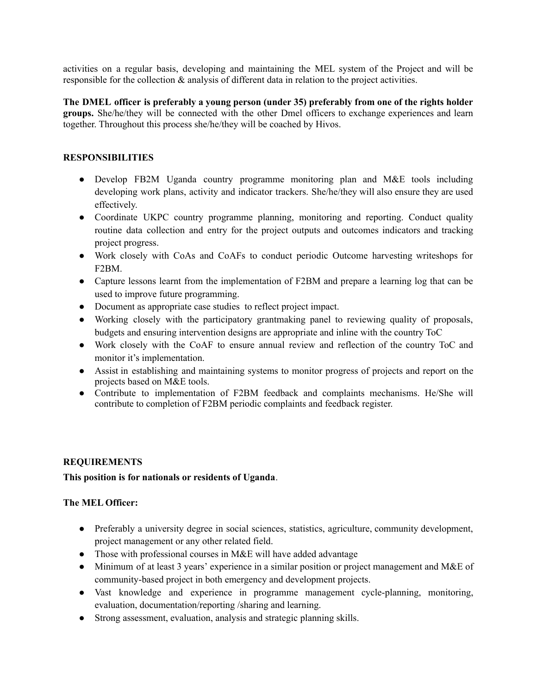activities on a regular basis, developing and maintaining the MEL system of the Project and will be responsible for the collection & analysis of different data in relation to the project activities.

**The DMEL officer is preferably a young person (under 35) preferably from one of the rights holder groups.** She/he/they will be connected with the other Dmel officers to exchange experiences and learn together. Throughout this process she/he/they will be coached by Hivos.

## **RESPONSIBILITIES**

- Develop FB2M Uganda country programme monitoring plan and M&E tools including developing work plans, activity and indicator trackers. She/he/they will also ensure they are used effectively.
- Coordinate UKPC country programme planning, monitoring and reporting. Conduct quality routine data collection and entry for the project outputs and outcomes indicators and tracking project progress.
- Work closely with CoAs and CoAFs to conduct periodic Outcome harvesting writeshops for F2BM.
- Capture lessons learnt from the implementation of F2BM and prepare a learning log that can be used to improve future programming.
- Document as appropriate case studies to reflect project impact.
- Working closely with the participatory grantmaking panel to reviewing quality of proposals, budgets and ensuring intervention designs are appropriate and inline with the country ToC
- Work closely with the CoAF to ensure annual review and reflection of the country ToC and monitor it's implementation.
- Assist in establishing and maintaining systems to monitor progress of projects and report on the projects based on M&E tools.
- Contribute to implementation of F2BM feedback and complaints mechanisms. He/She will contribute to completion of F2BM periodic complaints and feedback register.

# **REQUIREMENTS**

# **This position is for nationals or residents of Uganda**.

# **The MEL Officer:**

- Preferably a university degree in social sciences, statistics, agriculture, community development, project management or any other related field.
- Those with professional courses in M&E will have added advantage
- Minimum of at least 3 years' experience in a similar position or project management and M&E of community-based project in both emergency and development projects.
- Vast knowledge and experience in programme management cycle-planning, monitoring, evaluation, documentation/reporting /sharing and learning.
- Strong assessment, evaluation, analysis and strategic planning skills.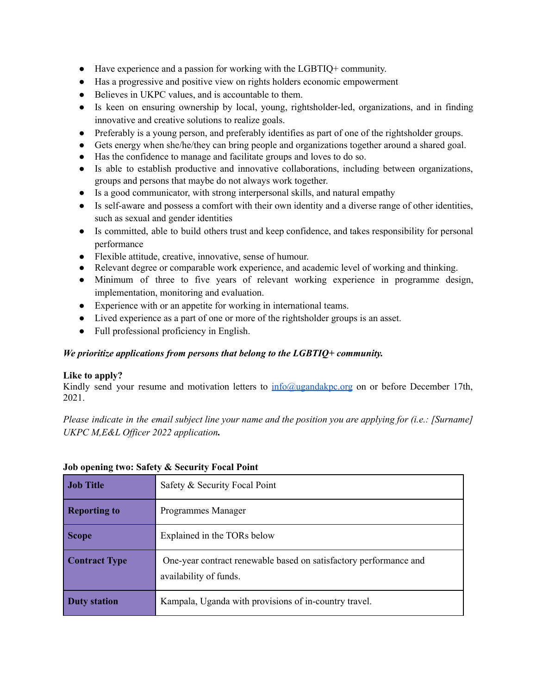- Have experience and a passion for working with the LGBTIQ+ community.
- Has a progressive and positive view on rights holders economic empowerment
- Believes in UKPC values, and is accountable to them.
- Is keen on ensuring ownership by local, young, rightsholder-led, organizations, and in finding innovative and creative solutions to realize goals.
- Preferably is a young person, and preferably identifies as part of one of the rightsholder groups.
- Gets energy when she/he/they can bring people and organizations together around a shared goal.
- Has the confidence to manage and facilitate groups and loves to do so.
- Is able to establish productive and innovative collaborations, including between organizations, groups and persons that maybe do not always work together.
- Is a good communicator, with strong interpersonal skills, and natural empathy
- Is self-aware and possess a comfort with their own identity and a diverse range of other identities, such as sexual and gender identities
- Is committed, able to build others trust and keep confidence, and takes responsibility for personal performance
- Flexible attitude, creative, innovative, sense of humour.
- Relevant degree or comparable work experience, and academic level of working and thinking.
- Minimum of three to five years of relevant working experience in programme design, implementation, monitoring and evaluation.
- Experience with or an appetite for working in international teams.
- Lived experience as a part of one or more of the rightsholder groups is an asset.
- Full professional proficiency in English.

# *We prioritize applications from persons that belong to the LGBTIQ+ community.*

# **Like to apply?**

Kindly send your resume and motivation letters to [info@ugandakpc.org](mailto:info@ugandakpc.org) on or before December 17th, 2021.

Please indicate in the email subject line your name and the position you are applying for (i.e.: [Surname] *UKPC M,E&L Of icer 2022 application.*

| <b>Job Title</b>     | Safety & Security Focal Point                                                               |
|----------------------|---------------------------------------------------------------------------------------------|
| <b>Reporting to</b>  | Programmes Manager                                                                          |
| <b>Scope</b>         | Explained in the TORs below                                                                 |
| <b>Contract Type</b> | One-year contract renewable based on satisfactory performance and<br>availability of funds. |
| Duty station         | Kampala, Uganda with provisions of in-country travel.                                       |

## **Job opening two: Safety & Security Focal Point**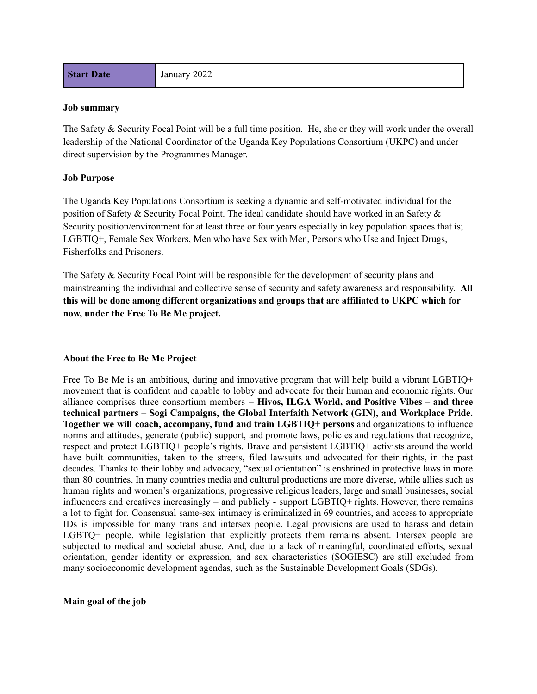**Start Date** January 2022

#### **Job summary**

The Safety & Security Focal Point will be a full time position. He, she or they will work under the overall leadership of the National Coordinator of the Uganda Key Populations Consortium (UKPC) and under direct supervision by the Programmes Manager.

#### **Job Purpose**

The Uganda Key Populations Consortium is seeking a dynamic and self-motivated individual for the position of Safety & Security Focal Point. The ideal candidate should have worked in an Safety & Security position/environment for at least three or four years especially in key population spaces that is; LGBTIQ+, Female Sex Workers, Men who have Sex with Men, Persons who Use and Inject Drugs, Fisherfolks and Prisoners.

The Safety & Security Focal Point will be responsible for the development of security plans and mainstreaming the individual and collective sense of security and safety awareness and responsibility. **All this will be done among different organizations and groups that are affiliated to UKPC which for now, under the Free To Be Me project.**

#### **About the Free to Be Me Project**

Free To Be Me is an ambitious, daring and innovative program that will help build a vibrant LGBTIQ+ movement that is confident and capable to lobby and advocate for their human and economic rights. Our alliance comprises three consortium members **– Hivos, ILGA World, and Positive Vibes – and three technical partners – Sogi Campaigns, the Global Interfaith Network (GIN), and Workplace Pride. Together we will coach, accompany, fund and train LGBTIQ+ persons** and organizations to influence norms and attitudes, generate (public) support, and promote laws, policies and regulations that recognize, respect and protect LGBTIQ+ people's rights. Brave and persistent LGBTIQ+ activists around the world have built communities, taken to the streets, filed lawsuits and advocated for their rights, in the past decades. Thanks to their lobby and advocacy, "sexual orientation" is enshrined in protective laws in more than 80 countries. In many countries media and cultural productions are more diverse, while allies such as human rights and women's organizations, progressive religious leaders, large and small businesses, social influencers and creatives increasingly – and publicly - support LGBTIQ+ rights. However, there remains a lot to fight for. Consensual same-sex intimacy is criminalized in 69 countries, and access to appropriate IDs is impossible for many trans and intersex people. Legal provisions are used to harass and detain LGBTQ+ people, while legislation that explicitly protects them remains absent. Intersex people are subjected to medical and societal abuse. And, due to a lack of meaningful, coordinated efforts, sexual orientation, gender identity or expression, and sex characteristics (SOGIESC) are still excluded from many socioeconomic development agendas, such as the Sustainable Development Goals (SDGs).

**Main goal of the job**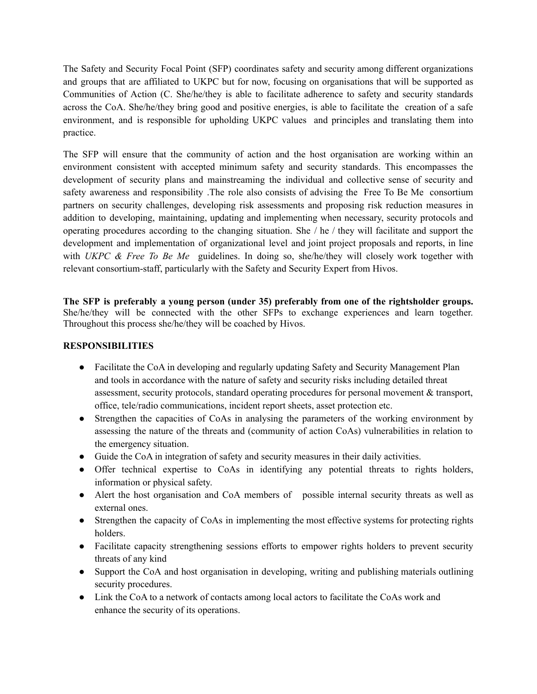The Safety and Security Focal Point (SFP) coordinates safety and security among different organizations and groups that are affiliated to UKPC but for now, focusing on organisations that will be supported as Communities of Action (C. She/he/they is able to facilitate adherence to safety and security standards across the CoA. She/he/they bring good and positive energies, is able to facilitate the creation of a safe environment, and is responsible for upholding UKPC values and principles and translating them into practice.

The SFP will ensure that the community of action and the host organisation are working within an environment consistent with accepted minimum safety and security standards. This encompasses the development of security plans and mainstreaming the individual and collective sense of security and safety awareness and responsibility .The role also consists of advising the Free To Be Me consortium partners on security challenges, developing risk assessments and proposing risk reduction measures in addition to developing, maintaining, updating and implementing when necessary, security protocols and operating procedures according to the changing situation. She / he / they will facilitate and support the development and implementation of organizational level and joint project proposals and reports, in line with *UKPC & Free To Be Me* guidelines. In doing so, she/he/they will closely work together with relevant consortium-staff, particularly with the Safety and Security Expert from Hivos.

**The SFP is preferably a young person (under 35) preferably from one of the rightsholder groups.** She/he/they will be connected with the other SFPs to exchange experiences and learn together. Throughout this process she/he/they will be coached by Hivos.

## **RESPONSIBILITIES**

- Facilitate the CoA in developing and regularly updating Safety and Security Management Plan and tools in accordance with the nature of safety and security risks including detailed threat assessment, security protocols, standard operating procedures for personal movement & transport, office, tele/radio communications, incident report sheets, asset protection etc.
- Strengthen the capacities of CoAs in analysing the parameters of the working environment by assessing the nature of the threats and (community of action CoAs) vulnerabilities in relation to the emergency situation.
- Guide the CoA in integration of safety and security measures in their daily activities.
- Offer technical expertise to CoAs in identifying any potential threats to rights holders, information or physical safety.
- Alert the host organisation and CoA members of possible internal security threats as well as external ones.
- Strengthen the capacity of CoAs in implementing the most effective systems for protecting rights holders.
- Facilitate capacity strengthening sessions efforts to empower rights holders to prevent security threats of any kind
- Support the CoA and host organisation in developing, writing and publishing materials outlining security procedures.
- Link the CoA to a network of contacts among local actors to facilitate the CoAs work and enhance the security of its operations.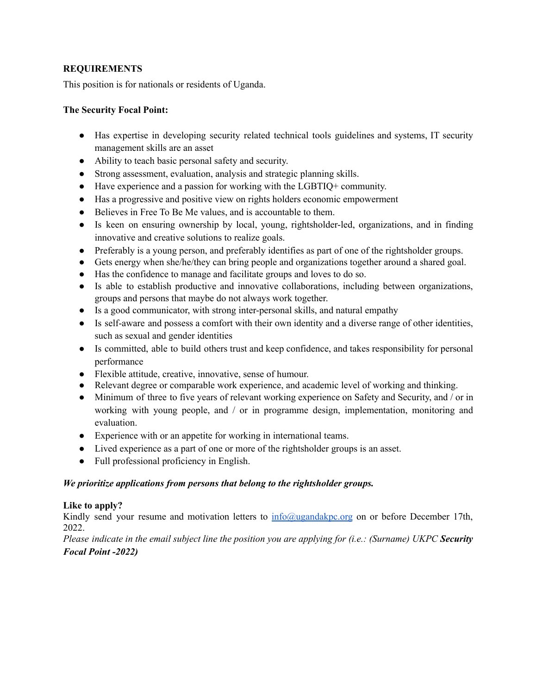# **REQUIREMENTS**

This position is for nationals or residents of Uganda.

## **The Security Focal Point:**

- Has expertise in developing security related technical tools guidelines and systems, IT security management skills are an asset
- Ability to teach basic personal safety and security.
- Strong assessment, evaluation, analysis and strategic planning skills.
- Have experience and a passion for working with the LGBTIQ+ community.
- Has a progressive and positive view on rights holders economic empowerment
- Believes in Free To Be Me values, and is accountable to them.
- Is keen on ensuring ownership by local, young, rightsholder-led, organizations, and in finding innovative and creative solutions to realize goals.
- Preferably is a young person, and preferably identifies as part of one of the rightsholder groups.
- Gets energy when she/he/they can bring people and organizations together around a shared goal.
- Has the confidence to manage and facilitate groups and loves to do so.
- Is able to establish productive and innovative collaborations, including between organizations, groups and persons that maybe do not always work together.
- Is a good communicator, with strong inter-personal skills, and natural empathy
- Is self-aware and possess a comfort with their own identity and a diverse range of other identities, such as sexual and gender identities
- Is committed, able to build others trust and keep confidence, and takes responsibility for personal performance
- Flexible attitude, creative, innovative, sense of humour.
- Relevant degree or comparable work experience, and academic level of working and thinking.
- Minimum of three to five years of relevant working experience on Safety and Security, and / or in working with young people, and / or in programme design, implementation, monitoring and evaluation.
- Experience with or an appetite for working in international teams.
- Lived experience as a part of one or more of the rightsholder groups is an asset.
- Full professional proficiency in English.

# *We prioritize applications from persons that belong to the rightsholder groups.*

#### **Like to apply?**

Kindly send your resume and motivation letters to [info@ugandakpc.org](mailto:info@ugandakpc.org) on or before December 17th, 2022.

Please indicate in the email subject line the position you are applying for (i.e.: (Surname) UKPC Security *Focal Point -2022)*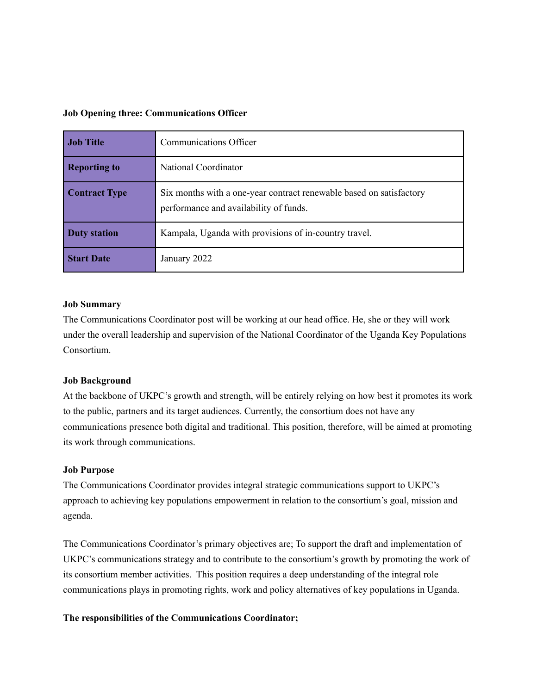#### **Job Opening three: Communications Officer**

| <b>Job Title</b>     | <b>Communications Officer</b>                                                                                 |
|----------------------|---------------------------------------------------------------------------------------------------------------|
| <b>Reporting to</b>  | National Coordinator                                                                                          |
| <b>Contract Type</b> | Six months with a one-year contract renewable based on satisfactory<br>performance and availability of funds. |
| <b>Duty station</b>  | Kampala, Uganda with provisions of in-country travel.                                                         |
| <b>Start Date</b>    | January 2022                                                                                                  |

#### **Job Summary**

The Communications Coordinator post will be working at our head office. He, she or they will work under the overall leadership and supervision of the National Coordinator of the Uganda Key Populations Consortium.

## **Job Background**

At the backbone of UKPC's growth and strength, will be entirely relying on how best it promotes its work to the public, partners and its target audiences. Currently, the consortium does not have any communications presence both digital and traditional. This position, therefore, will be aimed at promoting its work through communications.

#### **Job Purpose**

The Communications Coordinator provides integral strategic communications support to UKPC's approach to achieving key populations empowerment in relation to the consortium's goal, mission and agenda.

The Communications Coordinator's primary objectives are; To support the draft and implementation of UKPC's communications strategy and to contribute to the consortium's growth by promoting the work of its consortium member activities. This position requires a deep understanding of the integral role communications plays in promoting rights, work and policy alternatives of key populations in Uganda.

#### **The responsibilities of the Communications Coordinator;**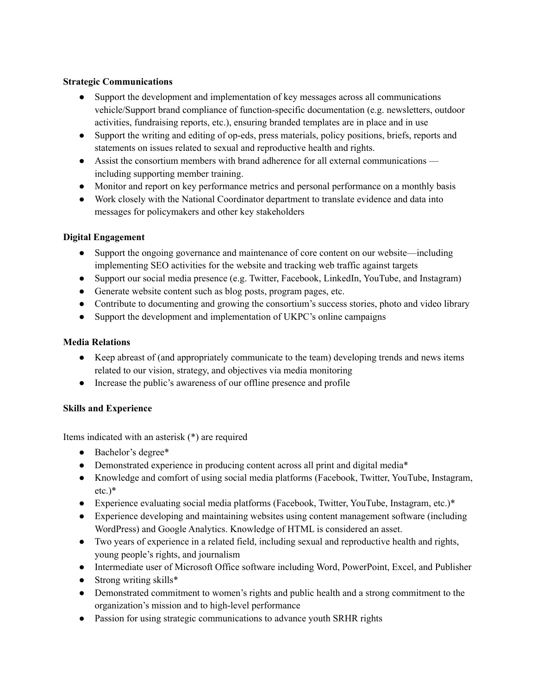# **Strategic Communications**

- Support the development and implementation of key messages across all communications vehicle/Support brand compliance of function-specific documentation (e.g. newsletters, outdoor activities, fundraising reports, etc.), ensuring branded templates are in place and in use
- Support the writing and editing of op-eds, press materials, policy positions, briefs, reports and statements on issues related to sexual and reproductive health and rights.
- Assist the consortium members with brand adherence for all external communications including supporting member training.
- Monitor and report on key performance metrics and personal performance on a monthly basis
- Work closely with the National Coordinator department to translate evidence and data into messages for policymakers and other key stakeholders

# **Digital Engagement**

- Support the ongoing governance and maintenance of core content on our website—including implementing SEO activities for the website and tracking web traffic against targets
- Support our social media presence (e.g. Twitter, Facebook, LinkedIn, YouTube, and Instagram)
- Generate website content such as blog posts, program pages, etc.
- Contribute to documenting and growing the consortium's success stories, photo and video library
- Support the development and implementation of UKPC's online campaigns

# **Media Relations**

- Keep abreast of (and appropriately communicate to the team) developing trends and news items related to our vision, strategy, and objectives via media monitoring
- Increase the public's awareness of our offline presence and profile

# **Skills and Experience**

Items indicated with an asterisk (\*) are required

- Bachelor's degree\*
- Demonstrated experience in producing content across all print and digital media\*
- Knowledge and comfort of using social media platforms (Facebook, Twitter, YouTube, Instagram, etc.)\*
- Experience evaluating social media platforms (Facebook, Twitter, YouTube, Instagram, etc.)\*
- Experience developing and maintaining websites using content management software (including WordPress) and Google Analytics. Knowledge of HTML is considered an asset.
- Two years of experience in a related field, including sexual and reproductive health and rights, young people's rights, and journalism
- Intermediate user of Microsoft Office software including Word, PowerPoint, Excel, and Publisher
- $\bullet$  Strong writing skills\*
- Demonstrated commitment to women's rights and public health and a strong commitment to the organization's mission and to high-level performance
- Passion for using strategic communications to advance youth SRHR rights